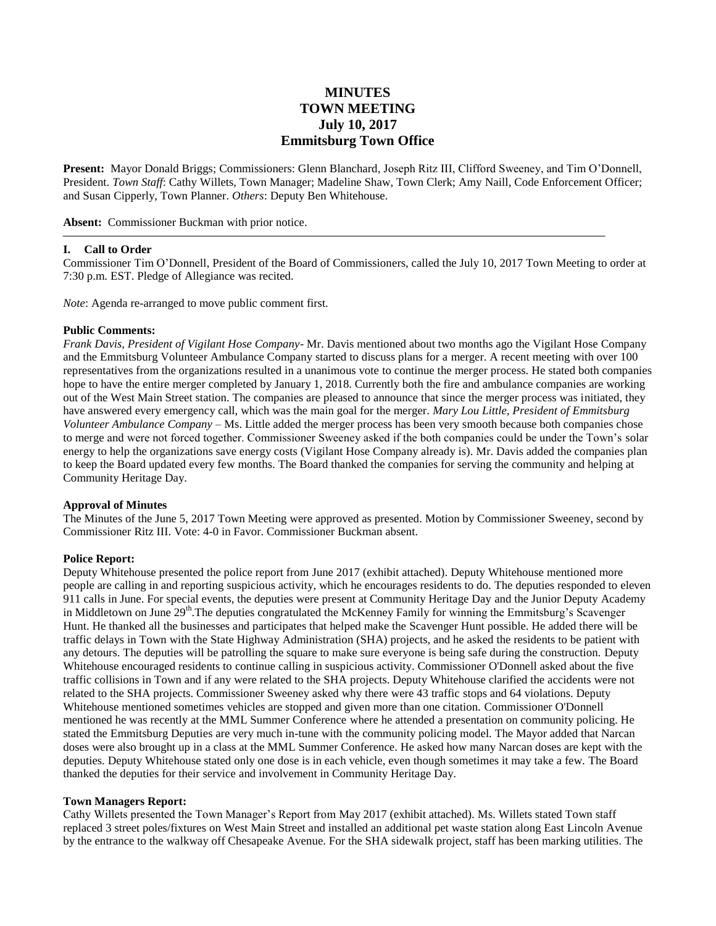# **MINUTES TOWN MEETING July 10, 2017 Emmitsburg Town Office**

**Present:** Mayor Donald Briggs; Commissioners: Glenn Blanchard, Joseph Ritz III, Clifford Sweeney, and Tim O'Donnell, President. *Town Staff*: Cathy Willets, Town Manager; Madeline Shaw, Town Clerk; Amy Naill, Code Enforcement Officer; and Susan Cipperly, Town Planner. *Others*: Deputy Ben Whitehouse.

**Absent:** Commissioner Buckman with prior notice.

#### **I. Call to Order**

Commissioner Tim O'Donnell, President of the Board of Commissioners, called the July 10, 2017 Town Meeting to order at 7:30 p.m. EST. Pledge of Allegiance was recited.

*Note*: Agenda re-arranged to move public comment first.

#### **Public Comments:**

*Frank Davis, President of Vigilant Hose Company*- Mr. Davis mentioned about two months ago the Vigilant Hose Company and the Emmitsburg Volunteer Ambulance Company started to discuss plans for a merger. A recent meeting with over 100 representatives from the organizations resulted in a unanimous vote to continue the merger process. He stated both companies hope to have the entire merger completed by January 1, 2018. Currently both the fire and ambulance companies are working out of the West Main Street station. The companies are pleased to announce that since the merger process was initiated, they have answered every emergency call, which was the main goal for the merger. *Mary Lou Little, President of Emmitsburg Volunteer Ambulance Company* – Ms. Little added the merger process has been very smooth because both companies chose to merge and were not forced together. Commissioner Sweeney asked if the both companies could be under the Town's solar energy to help the organizations save energy costs (Vigilant Hose Company already is). Mr. Davis added the companies plan to keep the Board updated every few months. The Board thanked the companies for serving the community and helping at Community Heritage Day.

#### **Approval of Minutes**

The Minutes of the June 5, 2017 Town Meeting were approved as presented. Motion by Commissioner Sweeney, second by Commissioner Ritz III. Vote: 4-0 in Favor. Commissioner Buckman absent.

## **Police Report:**

Deputy Whitehouse presented the police report from June 2017 (exhibit attached). Deputy Whitehouse mentioned more people are calling in and reporting suspicious activity, which he encourages residents to do. The deputies responded to eleven 911 calls in June. For special events, the deputies were present at Community Heritage Day and the Junior Deputy Academy in Middletown on June 29<sup>th</sup>. The deputies congratulated the McKenney Family for winning the Emmitsburg's Scavenger Hunt. He thanked all the businesses and participates that helped make the Scavenger Hunt possible. He added there will be traffic delays in Town with the State Highway Administration (SHA) projects, and he asked the residents to be patient with any detours. The deputies will be patrolling the square to make sure everyone is being safe during the construction. Deputy Whitehouse encouraged residents to continue calling in suspicious activity. Commissioner O'Donnell asked about the five traffic collisions in Town and if any were related to the SHA projects. Deputy Whitehouse clarified the accidents were not related to the SHA projects. Commissioner Sweeney asked why there were 43 traffic stops and 64 violations. Deputy Whitehouse mentioned sometimes vehicles are stopped and given more than one citation. Commissioner O'Donnell mentioned he was recently at the MML Summer Conference where he attended a presentation on community policing. He stated the Emmitsburg Deputies are very much in-tune with the community policing model. The Mayor added that Narcan doses were also brought up in a class at the MML Summer Conference. He asked how many Narcan doses are kept with the deputies. Deputy Whitehouse stated only one dose is in each vehicle, even though sometimes it may take a few. The Board thanked the deputies for their service and involvement in Community Heritage Day.

#### **Town Managers Report:**

Cathy Willets presented the Town Manager's Report from May 2017 (exhibit attached). Ms. Willets stated Town staff replaced 3 street poles/fixtures on West Main Street and installed an additional pet waste station along East Lincoln Avenue by the entrance to the walkway off Chesapeake Avenue. For the SHA sidewalk project, staff has been marking utilities. The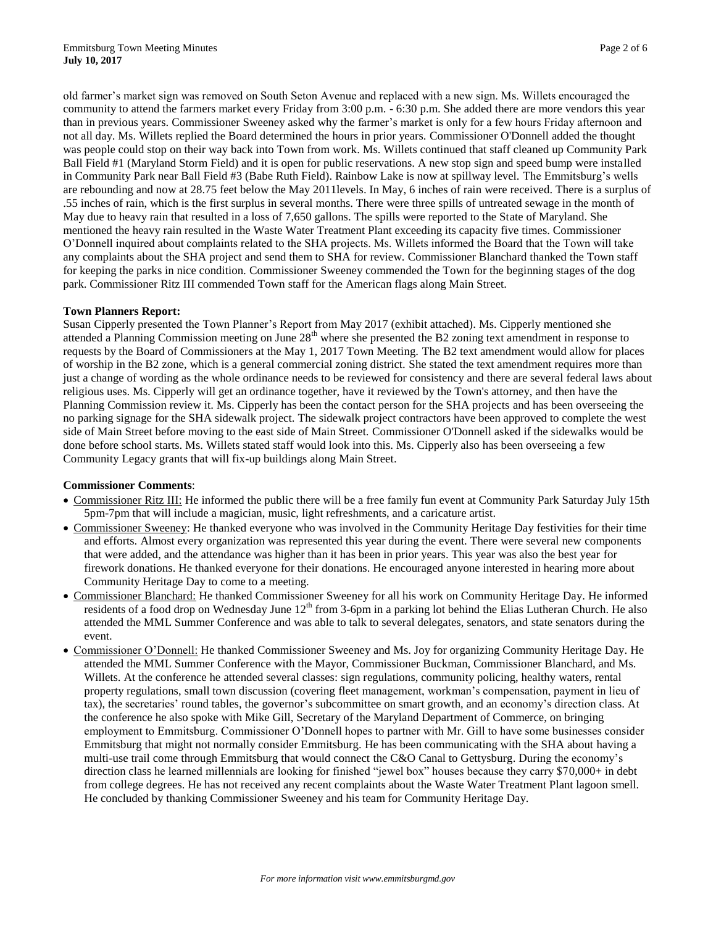old farmer's market sign was removed on South Seton Avenue and replaced with a new sign. Ms. Willets encouraged the community to attend the farmers market every Friday from 3:00 p.m. - 6:30 p.m. She added there are more vendors this year than in previous years. Commissioner Sweeney asked why the farmer's market is only for a few hours Friday afternoon and not all day. Ms. Willets replied the Board determined the hours in prior years. Commissioner O'Donnell added the thought was people could stop on their way back into Town from work. Ms. Willets continued that staff cleaned up Community Park Ball Field #1 (Maryland Storm Field) and it is open for public reservations. A new stop sign and speed bump were installed in Community Park near Ball Field #3 (Babe Ruth Field). Rainbow Lake is now at spillway level. The Emmitsburg's wells are rebounding and now at 28.75 feet below the May 2011levels. In May, 6 inches of rain were received. There is a surplus of .55 inches of rain, which is the first surplus in several months. There were three spills of untreated sewage in the month of May due to heavy rain that resulted in a loss of 7,650 gallons. The spills were reported to the State of Maryland. She mentioned the heavy rain resulted in the Waste Water Treatment Plant exceeding its capacity five times. Commissioner O'Donnell inquired about complaints related to the SHA projects. Ms. Willets informed the Board that the Town will take any complaints about the SHA project and send them to SHA for review. Commissioner Blanchard thanked the Town staff for keeping the parks in nice condition. Commissioner Sweeney commended the Town for the beginning stages of the dog park. Commissioner Ritz III commended Town staff for the American flags along Main Street.

## **Town Planners Report:**

Susan Cipperly presented the Town Planner's Report from May 2017 (exhibit attached). Ms. Cipperly mentioned she attended a Planning Commission meeting on June  $28<sup>th</sup>$  where she presented the B2 zoning text amendment in response to requests by the Board of Commissioners at the May 1, 2017 Town Meeting. The B2 text amendment would allow for places of worship in the B2 zone, which is a general commercial zoning district. She stated the text amendment requires more than just a change of wording as the whole ordinance needs to be reviewed for consistency and there are several federal laws about religious uses. Ms. Cipperly will get an ordinance together, have it reviewed by the Town's attorney, and then have the Planning Commission review it. Ms. Cipperly has been the contact person for the SHA projects and has been overseeing the no parking signage for the SHA sidewalk project. The sidewalk project contractors have been approved to complete the west side of Main Street before moving to the east side of Main Street. Commissioner O'Donnell asked if the sidewalks would be done before school starts. Ms. Willets stated staff would look into this. Ms. Cipperly also has been overseeing a few Community Legacy grants that will fix-up buildings along Main Street.

#### **Commissioner Comments**:

- Commissioner Ritz III: He informed the public there will be a free family fun event at Community Park Saturday July 15th 5pm-7pm that will include a magician, music, light refreshments, and a caricature artist.
- Commissioner Sweeney: He thanked everyone who was involved in the Community Heritage Day festivities for their time and efforts. Almost every organization was represented this year during the event. There were several new components that were added, and the attendance was higher than it has been in prior years. This year was also the best year for firework donations. He thanked everyone for their donations. He encouraged anyone interested in hearing more about Community Heritage Day to come to a meeting.
- Commissioner Blanchard: He thanked Commissioner Sweeney for all his work on Community Heritage Day. He informed residents of a food drop on Wednesday June  $12<sup>th</sup>$  from 3-6pm in a parking lot behind the Elias Lutheran Church. He also attended the MML Summer Conference and was able to talk to several delegates, senators, and state senators during the event.
- Commissioner O'Donnell: He thanked Commissioner Sweeney and Ms. Joy for organizing Community Heritage Day. He attended the MML Summer Conference with the Mayor, Commissioner Buckman, Commissioner Blanchard, and Ms. Willets. At the conference he attended several classes: sign regulations, community policing, healthy waters, rental property regulations, small town discussion (covering fleet management, workman's compensation, payment in lieu of tax), the secretaries' round tables, the governor's subcommittee on smart growth, and an economy's direction class. At the conference he also spoke with Mike Gill, Secretary of the Maryland Department of Commerce, on bringing employment to Emmitsburg. Commissioner O'Donnell hopes to partner with Mr. Gill to have some businesses consider Emmitsburg that might not normally consider Emmitsburg. He has been communicating with the SHA about having a multi-use trail come through Emmitsburg that would connect the C&O Canal to Gettysburg. During the economy's direction class he learned millennials are looking for finished "jewel box" houses because they carry \$70,000+ in debt from college degrees. He has not received any recent complaints about the Waste Water Treatment Plant lagoon smell. He concluded by thanking Commissioner Sweeney and his team for Community Heritage Day.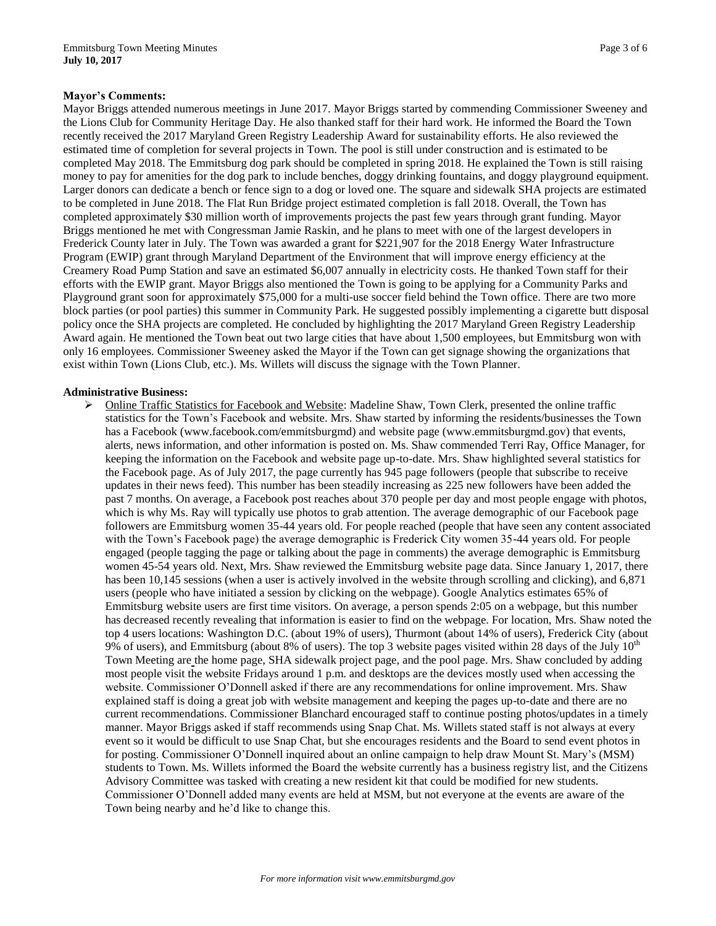Mayor Briggs attended numerous meetings in June 2017. Mayor Briggs started by commending Commissioner Sweeney and the Lions Club for Community Heritage Day. He also thanked staff for their hard work. He informed the Board the Town recently received the 2017 Maryland Green Registry Leadership Award for sustainability efforts. He also reviewed the estimated time of completion for several projects in Town. The pool is still under construction and is estimated to be completed May 2018. The Emmitsburg dog park should be completed in spring 2018. He explained the Town is still raising money to pay for amenities for the dog park to include benches, doggy drinking fountains, and doggy playground equipment. Larger donors can dedicate a bench or fence sign to a dog or loved one. The square and sidewalk SHA projects are estimated to be completed in June 2018. The Flat Run Bridge project estimated completion is fall 2018. Overall, the Town has completed approximately \$30 million worth of improvements projects the past few years through grant funding. Mayor Briggs mentioned he met with Congressman Jamie Raskin, and he plans to meet with one of the largest developers in Frederick County later in July. The Town was awarded a grant for \$221,907 for the 2018 Energy Water Infrastructure Program (EWIP) grant through Maryland Department of the Environment that will improve energy efficiency at the Creamery Road Pump Station and save an estimated \$6,007 annually in electricity costs. He thanked Town staff for their efforts with the EWIP grant. Mayor Briggs also mentioned the Town is going to be applying for a Community Parks and Playground grant soon for approximately \$75,000 for a multi-use soccer field behind the Town office. There are two more block parties (or pool parties) this summer in Community Park. He suggested possibly implementing a cigarette butt disposal policy once the SHA projects are completed. He concluded by highlighting the 2017 Maryland Green Registry Leadership Award again. He mentioned the Town beat out two large cities that have about 1,500 employees, but Emmitsburg won with only 16 employees. Commissioner Sweeney asked the Mayor if the Town can get signage showing the organizations that exist within Town (Lions Club, etc.). Ms. Willets will discuss the signage with the Town Planner.

## **Administrative Business:**

 Online Traffic Statistics for Facebook and Website: Madeline Shaw, Town Clerk, presented the online traffic statistics for the Town's Facebook and website. Mrs. Shaw started by informing the residents/businesses the Town has a Facebook (www.facebook.com/emmitsburgmd) and website page (www.emmitsburgmd.gov) that events, alerts, news information, and other information is posted on. Ms. Shaw commended Terri Ray, Office Manager, for keeping the information on the Facebook and website page up-to-date. Mrs. Shaw highlighted several statistics for the Facebook page. As of July 2017, the page currently has 945 page followers (people that subscribe to receive updates in their news feed). This number has been steadily increasing as 225 new followers have been added the past 7 months. On average, a Facebook post reaches about 370 people per day and most people engage with photos, which is why Ms. Ray will typically use photos to grab attention. The average demographic of our Facebook page followers are Emmitsburg women 35-44 years old. For people reached (people that have seen any content associated with the Town's Facebook page) the average demographic is Frederick City women 35-44 years old. For people engaged (people tagging the page or talking about the page in comments) the average demographic is Emmitsburg women 45-54 years old. Next, Mrs. Shaw reviewed the Emmitsburg website page data. Since January 1, 2017, there has been 10,145 sessions (when a user is actively involved in the website through scrolling and clicking), and 6,871 users (people who have initiated a session by clicking on the webpage). Google Analytics estimates 65% of Emmitsburg website users are first time visitors. On average, a person spends 2:05 on a webpage, but this number has decreased recently revealing that information is easier to find on the webpage. For location, Mrs. Shaw noted the top 4 users locations: Washington D.C. (about 19% of users), Thurmont (about 14% of users), Frederick City (about 9% of users), and Emmitsburg (about 8% of users). The top 3 website pages visited within 28 days of the July  $10<sup>th</sup>$ Town Meeting are the home page, SHA sidewalk project page, and the pool page. Mrs. Shaw concluded by adding most people visit the website Fridays around 1 p.m. and desktops are the devices mostly used when accessing the website. Commissioner O'Donnell asked if there are any recommendations for online improvement. Mrs. Shaw explained staff is doing a great job with website management and keeping the pages up-to-date and there are no current recommendations. Commissioner Blanchard encouraged staff to continue posting photos/updates in a timely manner. Mayor Briggs asked if staff recommends using Snap Chat. Ms. Willets stated staff is not always at every event so it would be difficult to use Snap Chat, but she encourages residents and the Board to send event photos in for posting. Commissioner O'Donnell inquired about an online campaign to help draw Mount St. Mary's (MSM) students to Town. Ms. Willets informed the Board the website currently has a business registry list, and the Citizens Advisory Committee was tasked with creating a new resident kit that could be modified for new students. Commissioner O'Donnell added many events are held at MSM, but not everyone at the events are aware of the Town being nearby and he'd like to change this.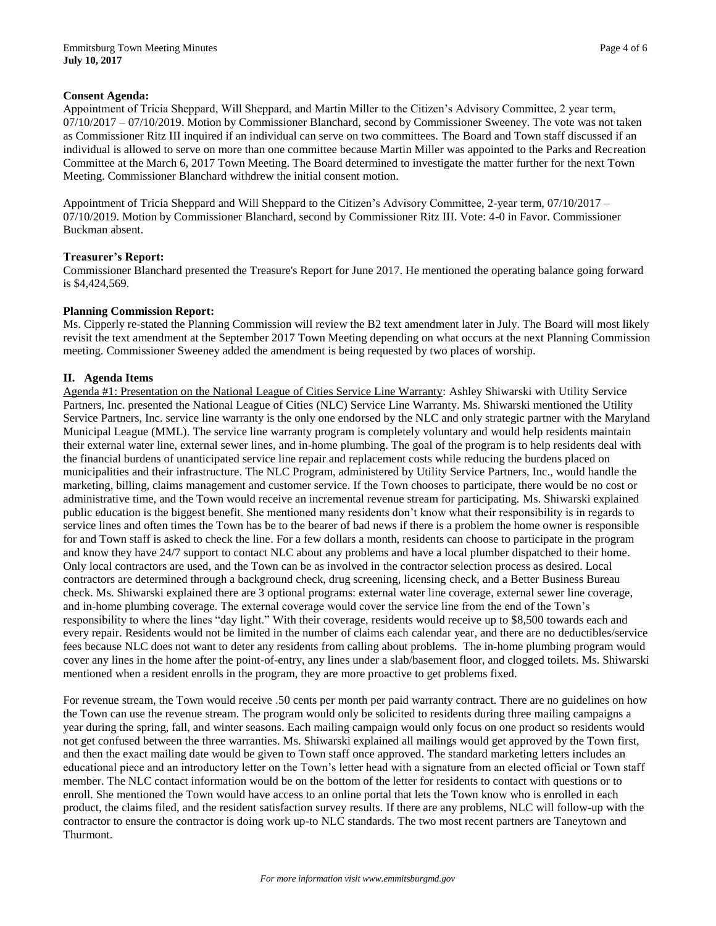## **Consent Agenda:**

Appointment of Tricia Sheppard, Will Sheppard, and Martin Miller to the Citizen's Advisory Committee, 2 year term, 07/10/2017 – 07/10/2019. Motion by Commissioner Blanchard, second by Commissioner Sweeney. The vote was not taken as Commissioner Ritz III inquired if an individual can serve on two committees. The Board and Town staff discussed if an individual is allowed to serve on more than one committee because Martin Miller was appointed to the Parks and Recreation Committee at the March 6, 2017 Town Meeting. The Board determined to investigate the matter further for the next Town Meeting. Commissioner Blanchard withdrew the initial consent motion.

Appointment of Tricia Sheppard and Will Sheppard to the Citizen's Advisory Committee, 2-year term, 07/10/2017 – 07/10/2019. Motion by Commissioner Blanchard, second by Commissioner Ritz III. Vote: 4-0 in Favor. Commissioner Buckman absent.

## **Treasurer's Report:**

Commissioner Blanchard presented the Treasure's Report for June 2017. He mentioned the operating balance going forward is \$4,424,569.

#### **Planning Commission Report:**

Ms. Cipperly re-stated the Planning Commission will review the B2 text amendment later in July. The Board will most likely revisit the text amendment at the September 2017 Town Meeting depending on what occurs at the next Planning Commission meeting. Commissioner Sweeney added the amendment is being requested by two places of worship.

## **II. Agenda Items**

Agenda #1: Presentation on the National League of Cities Service Line Warranty: Ashley Shiwarski with Utility Service Partners, Inc. presented the National League of Cities (NLC) Service Line Warranty. Ms. Shiwarski mentioned the Utility Service Partners, Inc. service line warranty is the only one endorsed by the NLC and only strategic partner with the Maryland Municipal League (MML). The service line warranty program is completely voluntary and would help residents maintain their external water line, external sewer lines, and in-home plumbing. The goal of the program is to help residents deal with the financial burdens of unanticipated service line repair and replacement costs while reducing the burdens placed on municipalities and their infrastructure. The NLC Program, administered by Utility Service Partners, Inc., would handle the marketing, billing, claims management and customer service. If the Town chooses to participate, there would be no cost or administrative time, and the Town would receive an incremental revenue stream for participating. Ms. Shiwarski explained public education is the biggest benefit. She mentioned many residents don't know what their responsibility is in regards to service lines and often times the Town has be to the bearer of bad news if there is a problem the home owner is responsible for and Town staff is asked to check the line. For a few dollars a month, residents can choose to participate in the program and know they have 24/7 support to contact NLC about any problems and have a local plumber dispatched to their home. Only local contractors are used, and the Town can be as involved in the contractor selection process as desired. Local contractors are determined through a background check, drug screening, licensing check, and a Better Business Bureau check. Ms. Shiwarski explained there are 3 optional programs: external water line coverage, external sewer line coverage, and in-home plumbing coverage. The external coverage would cover the service line from the end of the Town's responsibility to where the lines "day light." With their coverage, residents would receive up to \$8,500 towards each and every repair. Residents would not be limited in the number of claims each calendar year, and there are no deductibles/service fees because NLC does not want to deter any residents from calling about problems. The in-home plumbing program would cover any lines in the home after the point-of-entry, any lines under a slab/basement floor, and clogged toilets. Ms. Shiwarski mentioned when a resident enrolls in the program, they are more proactive to get problems fixed.

For revenue stream, the Town would receive .50 cents per month per paid warranty contract. There are no guidelines on how the Town can use the revenue stream. The program would only be solicited to residents during three mailing campaigns a year during the spring, fall, and winter seasons. Each mailing campaign would only focus on one product so residents would not get confused between the three warranties. Ms. Shiwarski explained all mailings would get approved by the Town first, and then the exact mailing date would be given to Town staff once approved. The standard marketing letters includes an educational piece and an introductory letter on the Town's letter head with a signature from an elected official or Town staff member. The NLC contact information would be on the bottom of the letter for residents to contact with questions or to enroll. She mentioned the Town would have access to an online portal that lets the Town know who is enrolled in each product, the claims filed, and the resident satisfaction survey results. If there are any problems, NLC will follow-up with the contractor to ensure the contractor is doing work up-to NLC standards. The two most recent partners are Taneytown and Thurmont.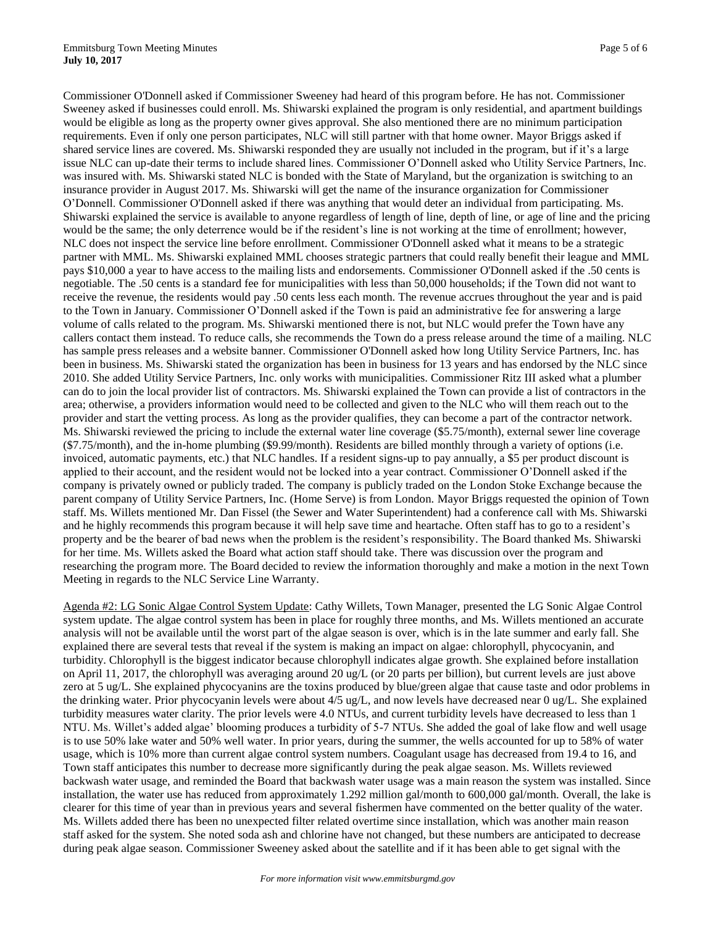Commissioner O'Donnell asked if Commissioner Sweeney had heard of this program before. He has not. Commissioner Sweeney asked if businesses could enroll. Ms. Shiwarski explained the program is only residential, and apartment buildings would be eligible as long as the property owner gives approval. She also mentioned there are no minimum participation requirements. Even if only one person participates, NLC will still partner with that home owner. Mayor Briggs asked if shared service lines are covered. Ms. Shiwarski responded they are usually not included in the program, but if it's a large issue NLC can up-date their terms to include shared lines. Commissioner O'Donnell asked who Utility Service Partners, Inc. was insured with. Ms. Shiwarski stated NLC is bonded with the State of Maryland, but the organization is switching to an insurance provider in August 2017. Ms. Shiwarski will get the name of the insurance organization for Commissioner O'Donnell. Commissioner O'Donnell asked if there was anything that would deter an individual from participating. Ms. Shiwarski explained the service is available to anyone regardless of length of line, depth of line, or age of line and the pricing would be the same; the only deterrence would be if the resident's line is not working at the time of enrollment; however, NLC does not inspect the service line before enrollment. Commissioner O'Donnell asked what it means to be a strategic partner with MML. Ms. Shiwarski explained MML chooses strategic partners that could really benefit their league and MML pays \$10,000 a year to have access to the mailing lists and endorsements. Commissioner O'Donnell asked if the .50 cents is negotiable. The .50 cents is a standard fee for municipalities with less than 50,000 households; if the Town did not want to receive the revenue, the residents would pay .50 cents less each month. The revenue accrues throughout the year and is paid to the Town in January. Commissioner O'Donnell asked if the Town is paid an administrative fee for answering a large volume of calls related to the program. Ms. Shiwarski mentioned there is not, but NLC would prefer the Town have any callers contact them instead. To reduce calls, she recommends the Town do a press release around the time of a mailing. NLC has sample press releases and a website banner. Commissioner O'Donnell asked how long Utility Service Partners, Inc. has been in business. Ms. Shiwarski stated the organization has been in business for 13 years and has endorsed by the NLC since 2010. She added Utility Service Partners, Inc. only works with municipalities. Commissioner Ritz III asked what a plumber can do to join the local provider list of contractors. Ms. Shiwarski explained the Town can provide a list of contractors in the area; otherwise, a providers information would need to be collected and given to the NLC who will them reach out to the provider and start the vetting process. As long as the provider qualifies, they can become a part of the contractor network. Ms. Shiwarski reviewed the pricing to include the external water line coverage (\$5.75/month), external sewer line coverage (\$7.75/month), and the in-home plumbing (\$9.99/month). Residents are billed monthly through a variety of options (i.e. invoiced, automatic payments, etc.) that NLC handles. If a resident signs-up to pay annually, a \$5 per product discount is applied to their account, and the resident would not be locked into a year contract. Commissioner O'Donnell asked if the company is privately owned or publicly traded. The company is publicly traded on the London Stoke Exchange because the parent company of Utility Service Partners, Inc. (Home Serve) is from London. Mayor Briggs requested the opinion of Town staff. Ms. Willets mentioned Mr. Dan Fissel (the Sewer and Water Superintendent) had a conference call with Ms. Shiwarski and he highly recommends this program because it will help save time and heartache. Often staff has to go to a resident's property and be the bearer of bad news when the problem is the resident's responsibility. The Board thanked Ms. Shiwarski for her time. Ms. Willets asked the Board what action staff should take. There was discussion over the program and researching the program more. The Board decided to review the information thoroughly and make a motion in the next Town Meeting in regards to the NLC Service Line Warranty.

Agenda #2: LG Sonic Algae Control System Update: Cathy Willets, Town Manager, presented the LG Sonic Algae Control system update. The algae control system has been in place for roughly three months, and Ms. Willets mentioned an accurate analysis will not be available until the worst part of the algae season is over, which is in the late summer and early fall. She explained there are several tests that reveal if the system is making an impact on algae: chlorophyll, phycocyanin, and turbidity. Chlorophyll is the biggest indicator because chlorophyll indicates algae growth. She explained before installation on April 11, 2017, the chlorophyll was averaging around 20 ug/L (or 20 parts per billion), but current levels are just above zero at 5 ug/L. She explained phycocyanins are the toxins produced by blue/green algae that cause taste and odor problems in the drinking water. Prior phycocyanin levels were about 4/5 ug/L, and now levels have decreased near 0 ug/L. She explained turbidity measures water clarity. The prior levels were 4.0 NTUs, and current turbidity levels have decreased to less than 1 NTU. Ms. Willet's added algae' blooming produces a turbidity of 5-7 NTUs. She added the goal of lake flow and well usage is to use 50% lake water and 50% well water. In prior years, during the summer, the wells accounted for up to 58% of water usage, which is 10% more than current algae control system numbers. Coagulant usage has decreased from 19.4 to 16, and Town staff anticipates this number to decrease more significantly during the peak algae season. Ms. Willets reviewed backwash water usage, and reminded the Board that backwash water usage was a main reason the system was installed. Since installation, the water use has reduced from approximately 1.292 million gal/month to 600,000 gal/month. Overall, the lake is clearer for this time of year than in previous years and several fishermen have commented on the better quality of the water. Ms. Willets added there has been no unexpected filter related overtime since installation, which was another main reason staff asked for the system. She noted soda ash and chlorine have not changed, but these numbers are anticipated to decrease during peak algae season. Commissioner Sweeney asked about the satellite and if it has been able to get signal with the